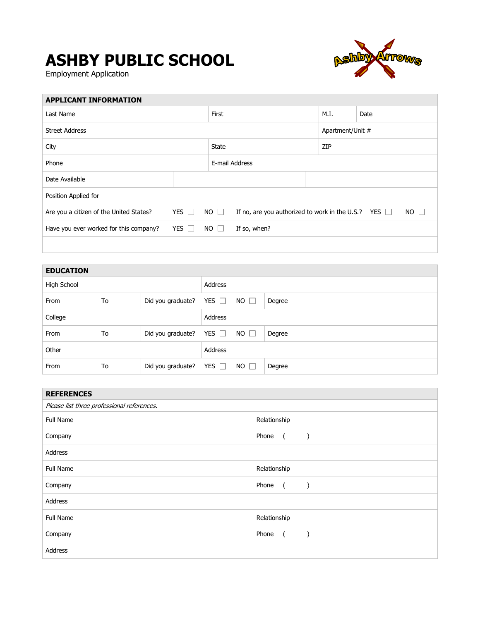## **ASHBY PUBLIC SCHOOL**

Employment Application



| <b>APPLICANT INFORMATION</b>            |                            |                |                                                           |      |                  |             |  |
|-----------------------------------------|----------------------------|----------------|-----------------------------------------------------------|------|------------------|-------------|--|
| Last Name                               |                            | First          |                                                           | M.I. | Date             |             |  |
| <b>Street Address</b>                   |                            |                |                                                           |      | Apartment/Unit # |             |  |
| City                                    |                            | State          |                                                           | ZIP  |                  |             |  |
| Phone                                   |                            | E-mail Address |                                                           |      |                  |             |  |
| Date Available                          |                            |                |                                                           |      |                  |             |  |
| Position Applied for                    |                            |                |                                                           |      |                  |             |  |
| Are you a citizen of the United States? | <b>YES</b><br>$\mathbf{1}$ | $NO$ $\Box$    | If no, are you authorized to work in the U.S.? YES $\Box$ |      |                  | $NO$ $\Box$ |  |
| Have you ever worked for this company?  | YES $\Box$                 | $NO$ $\Box$    | If so, when?                                              |      |                  |             |  |
|                                         |                            |                |                                                           |      |                  |             |  |

| <b>EDUCATION</b> |    |                              |            |             |        |
|------------------|----|------------------------------|------------|-------------|--------|
| High School      |    |                              | Address    |             |        |
| From             | To | Did you graduate?            | YES $\Box$ | $NO$ $\Box$ | Degree |
| College          |    |                              | Address    |             |        |
| From             | To | Did you graduate?            | YES $\Box$ | $NO$ $\Box$ | Degree |
| Other            |    |                              | Address    |             |        |
| From             | To | Did you graduate? YES $\Box$ |            | NO $\Box$   | Degree |

| <b>REFERENCES</b>                          |                                                                           |  |  |
|--------------------------------------------|---------------------------------------------------------------------------|--|--|
| Please list three professional references. |                                                                           |  |  |
| <b>Full Name</b>                           | Relationship                                                              |  |  |
| Company                                    | Phone<br>$\overline{a}$<br>$\rightarrow$                                  |  |  |
| Address                                    |                                                                           |  |  |
| Full Name                                  | Relationship                                                              |  |  |
| Company                                    | Phone<br>$\overline{a}$<br>$\left( \begin{array}{cc} \end{array} \right)$ |  |  |
| Address                                    |                                                                           |  |  |
| Full Name                                  | Relationship                                                              |  |  |
| Company                                    | Phone<br>$\sqrt{2}$<br>$\rightarrow$                                      |  |  |
| Address                                    |                                                                           |  |  |